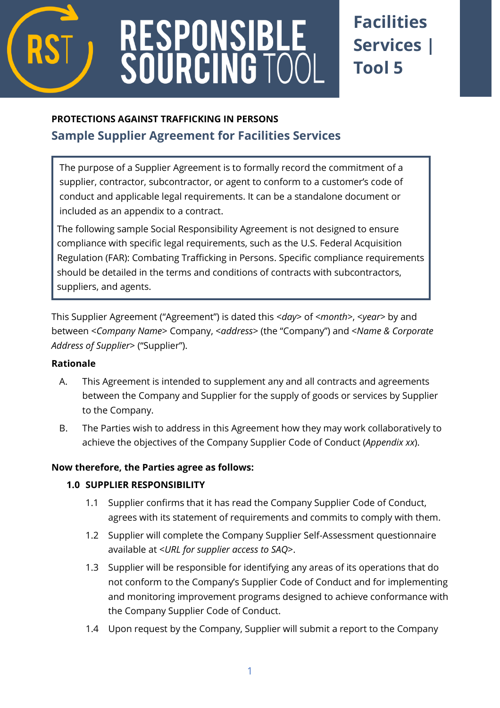

# **RESPONSIBL<br>SOURCING TO**

# **Facilities Services | Tool 5**

# **PROTECTIONS AGAINST TRAFFICKING IN PERSONS Sample Supplier Agreement for Facilities Services**

The purpose of a Supplier Agreement is to formally record the commitment of a supplier, contractor, subcontractor, or agent to conform to a customer's code of conduct and applicable legal requirements. It can be a standalone document or included as an appendix to a contract.

The following sample Social Responsibility Agreement is not designed to ensure compliance with specific legal requirements, such as the U.S. Federal Acquisition Regulation (FAR): Combating Trafficking in Persons. Specific compliance requirements should be detailed in the terms and conditions of contracts with subcontractors, suppliers, and agents.

This Supplier Agreement ("Agreement") is dated this <*day*> of <*month>*, <*year>* by and between <*Company Name*> Company, <*address*> (the "Company") and <*Name & Corporate Address of Supplier*> ("Supplier").

#### **Rationale**

- A. This Agreement is intended to supplement any and all contracts and agreements between the Company and Supplier for the supply of goods or services by Supplier to the Company.
- B. The Parties wish to address in this Agreement how they may work collaboratively to achieve the objectives of the Company Supplier Code of Conduct (*Appendix xx*).

## **Now therefore, the Parties agree as follows:**

## **1.0 SUPPLIER RESPONSIBILITY**

- 1.1 Supplier confirms that it has read the Company Supplier Code of Conduct, agrees with its statement of requirements and commits to comply with them.
- 1.2 Supplier will complete the Company Supplier Self-Assessment questionnaire available at <*URL for supplier access to SAQ*>.
- 1.3 Supplier will be responsible for identifying any areas of its operations that do not conform to the Company's Supplier Code of Conduct and for implementing and monitoring improvement programs designed to achieve conformance with the Company Supplier Code of Conduct.
- 1.4 Upon request by the Company, Supplier will submit a report to the Company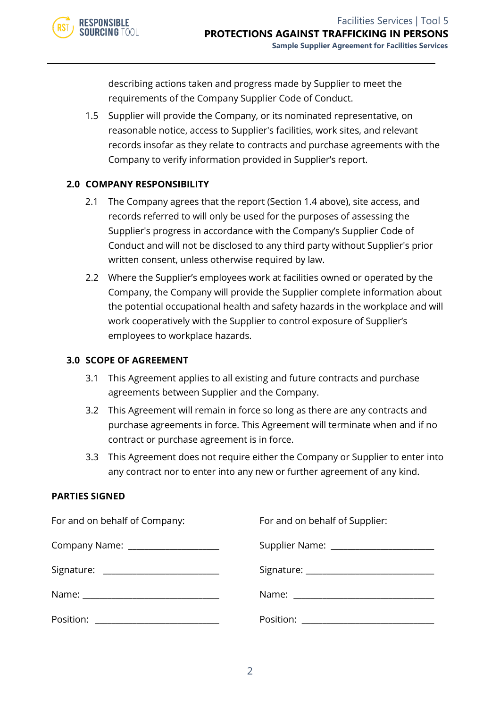

describing actions taken and progress made by Supplier to meet the requirements of the Company Supplier Code of Conduct.

1.5 Supplier will provide the Company, or its nominated representative, on reasonable notice, access to Supplier's facilities, work sites, and relevant records insofar as they relate to contracts and purchase agreements with the Company to verify information provided in Supplier's report.

#### **2.0 COMPANY RESPONSIBILITY**

- 2.1 The Company agrees that the report (Section 1.4 above), site access, and records referred to will only be used for the purposes of assessing the Supplier's progress in accordance with the Company's Supplier Code of Conduct and will not be disclosed to any third party without Supplier's prior written consent, unless otherwise required by law.
- 2.2 Where the Supplier's employees work at facilities owned or operated by the Company, the Company will provide the Supplier complete information about the potential occupational health and safety hazards in the workplace and will work cooperatively with the Supplier to control exposure of Supplier's employees to workplace hazards.

#### **3.0 SCOPE OF AGREEMENT**

- 3.1 This Agreement applies to all existing and future contracts and purchase agreements between Supplier and the Company.
- 3.2 This Agreement will remain in force so long as there are any contracts and purchase agreements in force. This Agreement will terminate when and if no contract or purchase agreement is in force.
- 3.3 This Agreement does not require either the Company or Supplier to enter into any contract nor to enter into any new or further agreement of any kind.

#### **PARTIES SIGNED**

| For and on behalf of Company:           | For and on behalf of Supplier:         |
|-----------------------------------------|----------------------------------------|
| Company Name: ____________________      | Supplier Name: _______________________ |
| Signature: ____________________________ |                                        |
|                                         |                                        |
| Position: _____________________________ |                                        |